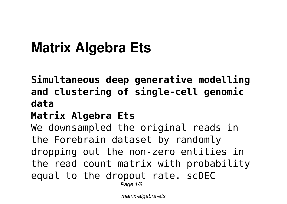# **Matrix Algebra Ets**

**Simultaneous deep generative modelling and clustering of single-cell genomic data**

### **Matrix Algebra Ets**

We downsampled the original reads in the Forebrain dataset by randomly dropping out the non-zero entities in the read count matrix with probability equal to the dropout rate. scDEC

Page  $1/8$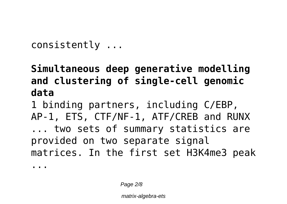consistently ...

# **Simultaneous deep generative modelling and clustering of single-cell genomic data**

1 binding partners, including C/EBP, AP-1, ETS, CTF/NF-1, ATF/CREB and RUNX ... two sets of summary statistics are provided on two separate signal matrices. In the first set H3K4me3 peak

...

Page 2/8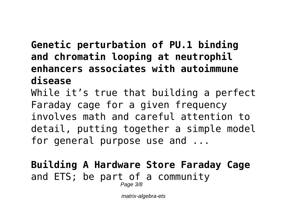## **Genetic perturbation of PU.1 binding and chromatin looping at neutrophil enhancers associates with autoimmune disease**

While it's true that building a perfect Faraday cage for a given frequency involves math and careful attention to detail, putting together a simple model for general purpose use and ...

#### **Building A Hardware Store Faraday Cage** and ETS; be part of a community Page 3/8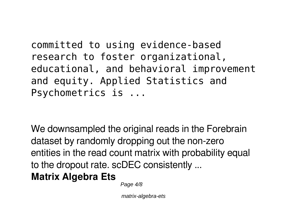committed to using evidence-based research to foster organizational, educational, and behavioral improvement and equity. Applied Statistics and Psychometrics is ...

We downsampled the original reads in the Forebrain dataset by randomly dropping out the non-zero entities in the read count matrix with probability equal to the dropout rate. scDEC consistently ...

**Matrix Algebra Ets**

Page  $4/8$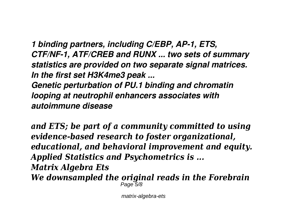*1 binding partners, including C/EBP, AP-1, ETS, CTF/NF-1, ATF/CREB and RUNX ... two sets of summary statistics are provided on two separate signal matrices. In the first set H3K4me3 peak ... Genetic perturbation of PU.1 binding and chromatin*

*looping at neutrophil enhancers associates with autoimmune disease*

*and ETS; be part of a community committed to using evidence-based research to foster organizational, educational, and behavioral improvement and equity. Applied Statistics and Psychometrics is ... Matrix Algebra Ets We downsampled the original reads in the Forebrain* Page 5/8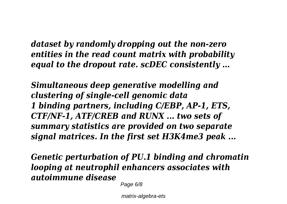*dataset by randomly dropping out the non-zero entities in the read count matrix with probability equal to the dropout rate. scDEC consistently ...*

*Simultaneous deep generative modelling and clustering of single-cell genomic data 1 binding partners, including C/EBP, AP-1, ETS, CTF/NF-1, ATF/CREB and RUNX ... two sets of summary statistics are provided on two separate signal matrices. In the first set H3K4me3 peak ...*

*Genetic perturbation of PU.1 binding and chromatin looping at neutrophil enhancers associates with autoimmune disease*

Page 6/8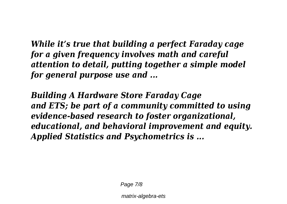*While it's true that building a perfect Faraday cage for a given frequency involves math and careful attention to detail, putting together a simple model for general purpose use and ...*

*Building A Hardware Store Faraday Cage and ETS; be part of a community committed to using evidence-based research to foster organizational, educational, and behavioral improvement and equity. Applied Statistics and Psychometrics is ...*

Page 7/8